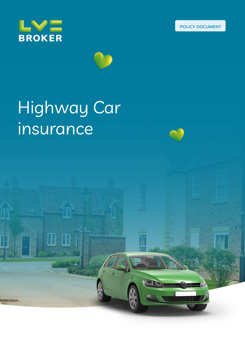





**Cardinal** 

# Highway Car insurance

 $\blacksquare$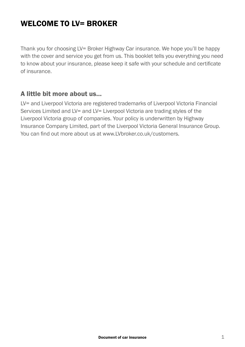## WELCOME TO IV= BROKER

Thank you for choosing LV= Broker Highway Car insurance. We hope you'll be happy with the cover and service you get from us. This booklet tells you everything you need to know about your insurance, please keep it safe with your schedule and certificate of insurance.

#### A little bit more about us…

LV= and Liverpool Victoria are registered trademarks of Liverpool Victoria Financial Services Limited and LV= and LV= Liverpool Victoria are trading styles of the Liverpool Victoria group of companies. Your policy is underwritten by Highway Insurance Company Limited, part of the Liverpool Victoria General Insurance Group. You can find out more about us at www.LVbroker.co.uk/customers.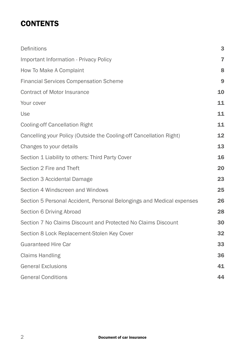## **CONTENTS**

| Definitions                                                           | 3              |
|-----------------------------------------------------------------------|----------------|
| Important Information - Privacy Policy                                | $\overline{7}$ |
| How To Make A Complaint                                               | 8              |
| <b>Financial Services Compensation Scheme</b>                         | 9              |
| <b>Contract of Motor Insurance</b>                                    | 10             |
| Your cover                                                            | 11             |
| Use                                                                   | 11             |
| <b>Cooling-off Cancellation Right</b>                                 | 11             |
| Cancelling your Policy (Outside the Cooling-off Cancellation Right)   | 12             |
| Changes to your details                                               | 13             |
| Section 1 Liability to others: Third Party Cover                      | 16             |
| Section 2 Fire and Theft                                              | 20             |
| Section 3 Accidental Damage                                           | 23             |
| Section 4 Windscreen and Windows                                      | 25             |
| Section 5 Personal Accident, Personal Belongings and Medical expenses | 26             |
| Section 6 Driving Abroad                                              | 28             |
| Section 7 No Claims Discount and Protected No Claims Discount         | 30             |
| Section 8 Lock Replacement-Stolen Key Cover                           | 32             |
| <b>Guaranteed Hire Car</b>                                            | 33             |
| <b>Claims Handling</b>                                                | 36             |
| <b>General Exclusions</b>                                             | 41             |
| <b>General Conditions</b>                                             | 44             |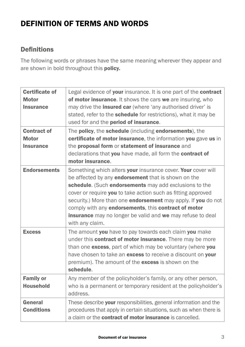## DEFINITION OF TERMS AND WORDS

#### Definitions

The following words or phrases have the same meaning wherever they appear and are shown in bold throughout this **policy.** 

| <b>Certificate of</b><br><b>Motor</b><br><b>Insurance</b> | Legal evidence of your insurance. It is one part of the contract<br>of motor insurance. It shows the cars we are insuring, who<br>may drive the <b>insured car</b> (where 'any authorised driver' is<br>stated, refer to the schedule for restrictions), what it may be<br>used for and the period of insurance.                                                                                                                                        |
|-----------------------------------------------------------|---------------------------------------------------------------------------------------------------------------------------------------------------------------------------------------------------------------------------------------------------------------------------------------------------------------------------------------------------------------------------------------------------------------------------------------------------------|
| <b>Contract of</b><br><b>Motor</b>                        | The policy, the schedule (including endorsements), the<br>certificate of motor insurance, the information you gave us in                                                                                                                                                                                                                                                                                                                                |
| <b>Insurance</b>                                          | the proposal form or statement of insurance and<br>declarations that you have made, all form the contract of<br>motor insurance.                                                                                                                                                                                                                                                                                                                        |
| <b>Endorsements</b>                                       | Something which alters your insurance cover. Your cover will<br>be affected by any endorsement that is shown on the<br>schedule. (Such endorsements may add exclusions to the<br>cover or require you to take action such as fitting approved<br>security.) More than one endorsement may apply. If you do not<br>comply with any endorsements, this contract of motor<br>insurance may no longer be valid and we may refuse to deal<br>with any claim. |
| <b>Excess</b>                                             | The amount you have to pay towards each claim you make<br>under this <b>contract of motor insurance</b> . There may be more<br>than one excess, part of which may be voluntary (where you<br>have chosen to take an excess to receive a discount on your<br>premium). The amount of the excess is shown on the<br>schedule.                                                                                                                             |
| <b>Family or</b><br><b>Household</b>                      | Any member of the policyholder's family, or any other person,<br>who is a permanent or temporary resident at the policyholder's<br>address.                                                                                                                                                                                                                                                                                                             |
| General<br><b>Conditions</b>                              | These describe your responsibilities, general information and the<br>procedures that apply in certain situations, such as when there is<br>a claim or the contract of motor insurance is cancelled.                                                                                                                                                                                                                                                     |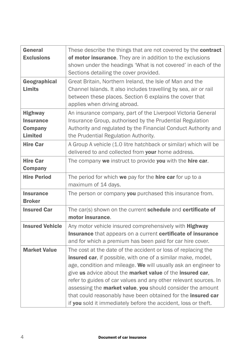| General<br><b>Exclusions</b>                                           | These describe the things that are not covered by the <b>contract</b><br>of motor insurance. They are in addition to the exclusions<br>shown under the headings 'What is not covered' in each of the<br>Sections detailing the cover provided.                                                                                                                                                                                                                                                                                   |
|------------------------------------------------------------------------|----------------------------------------------------------------------------------------------------------------------------------------------------------------------------------------------------------------------------------------------------------------------------------------------------------------------------------------------------------------------------------------------------------------------------------------------------------------------------------------------------------------------------------|
| Geographical<br><b>Limits</b>                                          | Great Britain, Northern Ireland, the Isle of Man and the<br>Channel Islands. It also includes travelling by sea, air or rail<br>between these places. Section 6 explains the cover that<br>applies when driving abroad.                                                                                                                                                                                                                                                                                                          |
| <b>Highway</b><br><b>Insurance</b><br><b>Company</b><br><b>Limited</b> | An insurance company, part of the Liverpool Victoria General<br>Insurance Group, authorised by the Prudential Regulation<br>Authority and regulated by the Financial Conduct Authority and<br>the Prudential Regulation Authority.                                                                                                                                                                                                                                                                                               |
| <b>Hire Car</b>                                                        | A Group A vehicle (1.0 litre hatchback or similar) which will be<br>delivered to and collected from your home address.                                                                                                                                                                                                                                                                                                                                                                                                           |
| <b>Hire Car</b><br><b>Company</b>                                      | The company we instruct to provide you with the hire car.                                                                                                                                                                                                                                                                                                                                                                                                                                                                        |
| <b>Hire Period</b>                                                     | The period for which we pay for the hire car for up to a<br>maximum of 14 days.                                                                                                                                                                                                                                                                                                                                                                                                                                                  |
| <b>Insurance</b><br><b>Broker</b>                                      | The person or company you purchased this insurance from.                                                                                                                                                                                                                                                                                                                                                                                                                                                                         |
| <b>Insured Car</b>                                                     | The car(s) shown on the current schedule and certificate of<br>motor insurance.                                                                                                                                                                                                                                                                                                                                                                                                                                                  |
| <b>Insured Vehicle</b>                                                 | Any motor vehicle insured comprehensively with Highway<br>Insurance that appears on a current certificate of insurance<br>and for which a premium has been paid for car hire cover.                                                                                                                                                                                                                                                                                                                                              |
| <b>Market Value</b>                                                    | The cost at the date of the accident or loss of replacing the<br>insured car, if possible, with one of a similar make, model,<br>age, condition and mileage. We will usually ask an engineer to<br>give us advice about the market value of the insured car,<br>refer to guides of car values and any other relevant sources. In<br>assessing the market value, you should consider the amount<br>that could reasonably have been obtained for the insured car<br>if you sold it immediately before the accident, loss or theft. |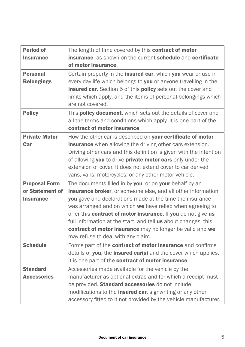| <b>Period of</b><br><b>Insurance</b>                        | The length of time covered by this contract of motor<br>insurance, as shown on the current schedule and certificate<br>of motor insurance.                                                                                                                                                                                                                                                                                                                                             |  |  |  |
|-------------------------------------------------------------|----------------------------------------------------------------------------------------------------------------------------------------------------------------------------------------------------------------------------------------------------------------------------------------------------------------------------------------------------------------------------------------------------------------------------------------------------------------------------------------|--|--|--|
| <b>Personal</b><br><b>Belongings</b>                        | Certain property in the insured car, which you wear or use in<br>every day life which belongs to you or anyone travelling in the<br>insured car. Section 5 of this policy sets out the cover and<br>limits which apply, and the items of personal belongings which<br>are not covered.                                                                                                                                                                                                 |  |  |  |
| <b>Policy</b>                                               | This policy document, which sets out the details of cover and<br>all the terms and conditions which apply. It is one part of the<br>contract of motor insurance.                                                                                                                                                                                                                                                                                                                       |  |  |  |
| <b>Private Motor</b><br>Car                                 | How the other car is described on your certificate of motor<br>insurance when allowing the driving other cars extension.<br>Driving other cars and this definition is given with the intention<br>of allowing you to drive private motor cars only under the<br>extension of cover. It does not extend cover to car derived<br>vans, vans, motorcycles, or any other motor vehicle.                                                                                                    |  |  |  |
| <b>Proposal Form</b><br>or Statement of<br><b>Insurance</b> | The documents filled in by you, or on your behalf by an<br>insurance broker, or someone else, and all other information<br>you gave and declarations made at the time the insurance<br>was arranged and on which we have relied when agreeing to<br>offer this contract of motor insurance. If you do not give us<br>full information at the start, and tell us about changes, this<br>contract of motor insurance may no longer be valid and we<br>may refuse to deal with any claim. |  |  |  |
| <b>Schedule</b>                                             | Forms part of the contract of motor insurance and confirms<br>details of you, the insured car(s) and the cover which applies.<br>It is one part of the contract of motor insurance.                                                                                                                                                                                                                                                                                                    |  |  |  |
| <b>Standard</b><br><b>Accessories</b>                       | Accessories made available for the vehicle by the<br>manufacturer as optional extras and for which a receipt must<br>be provided. Standard accessories do not include<br>modifications to the insured car, signwriting or any other<br>accessory fitted to it not provided by the vehicle manufacturer.                                                                                                                                                                                |  |  |  |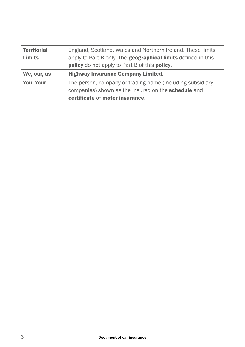| England, Scotland, Wales and Northern Ireland. These limits<br><b>Territorial</b><br>apply to Part B only. The geographical limits defined in this<br>Limits<br>policy do not apply to Part B of this policy. |                                                                                                                                                     |  |  |  |
|---------------------------------------------------------------------------------------------------------------------------------------------------------------------------------------------------------------|-----------------------------------------------------------------------------------------------------------------------------------------------------|--|--|--|
| We, our, us                                                                                                                                                                                                   | <b>Highway Insurance Company Limited.</b>                                                                                                           |  |  |  |
| You, Your                                                                                                                                                                                                     | The person, company or trading name (including subsidiary<br>companies) shown as the insured on the schedule and<br>certificate of motor insurance. |  |  |  |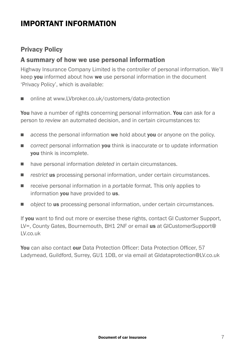## IMPORTANT INFORMATION

#### Privacy Policy

#### A summary of how we use personal information

Highway Insurance Company Limited is the controller of personal information. We'll keep you informed about how we use personal information in the document 'Privacy Policy', which is available:

■ online at www.LVbroker.co.uk/customers/data-protection

You have a number of rights concerning personal information. You can ask for a person to *review* an automated decision, and in certain circumstances to:

- **n** access the personal information **we** hold about **you** or anyone on the policy.
- *correct* personal information **vou** think is inaccurate or to update information you think is incomplete.
- have personal information *deleted* in certain circumstances.
- **n** *restrict* us processing personal information, under certain circumstances.
- receive personal information in a *portable* format. This only applies to information **you** have provided to us.
- **n** *object* to **us** processing personal information, under certain circumstances.

If you want to find out more or exercise these rights, contact GI Customer Support, LV=, County Gates, Bournemouth, BH1 2NF or email us at GICustomerSupport@ LV.co.uk

You can also contact our Data Protection Officer: Data Protection Officer, 57 Ladymead, Guildford, Surrey, GU1 1DB, or via email at GIdataprotection@LV.co.uk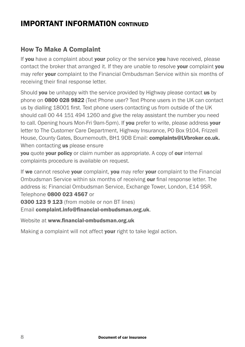## IMPORTANT INFORMATION CONTINUED

#### How To Make A Complaint

If you have a complaint about your policy or the service you have received, please contact the broker that arranged it. If they are unable to resolve your complaint you may refer your complaint to the Financial Ombudsman Service within six months of receiving their final response letter.

Should you be unhappy with the service provided by Highway please contact us by phone on 0800 028 9822 (Text Phone user? Text Phone users in the UK can contact us by dialling 18001 first. Text phone users contacting us from outside of the UK should call 00 44 151 494 1260 and give the relay assistant the number you need to call. Opening hours Mon-Fri 9am-5pm). If you prefer to write, please address your letter to The Customer Care Department, Highway Insurance, PO Box 9104, Frizzell House, County Gates, Bournemouth, BH1 9DB Email: complaints@LVbroker.co.uk. When contacting us please ensure

**you** quote **your policy** or claim number as appropriate. A copy of **our** internal complaints procedure is available on request.

If we cannot resolve your complaint, you may refer your complaint to the Financial Ombudsman Service within six months of receiving our final response letter. The address is: Financial Ombudsman Service, Exchange Tower, London, E14 9SR. Telephone 0800 023 4567 or

0300 123 9 123 (from mobile or non BT lines)

Email complaint.info@financial-ombudsman.org.uk.

Website at www.financial-ombudsman.org.uk

Making a complaint will not affect your right to take legal action.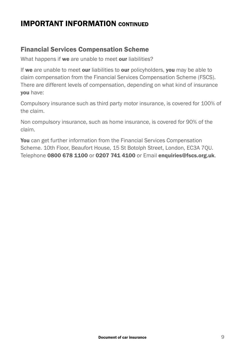## IMPORTANT INFORMATION CONTINUED

#### Financial Services Compensation Scheme

What happens if we are unable to meet our liabilities?

If we are unable to meet our liabilities to our policyholders, you may be able to claim compensation from the Financial Services Compensation Scheme (FSCS). There are different levels of compensation, depending on what kind of insurance you have:

Compulsory insurance such as third party motor insurance, is covered for 100% of the claim.

Non compulsory insurance, such as home insurance, is covered for 90% of the claim.

You can get further information from the Financial Services Compensation Scheme. 10th Floor, Beaufort House, 15 St Botolph Street, London, EC3A 7QU. Telephone 0800 678 1100 or 0207 741 4100 or Email enquiries@fscs.org.uk.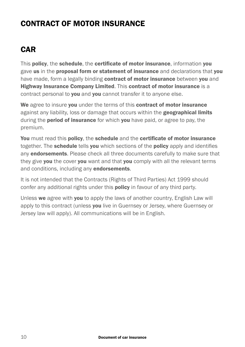## CONTRACT OF MOTOR INSURANCE

## CAR

This policy, the schedule, the certificate of motor insurance, information you gave us in the proposal form or statement of insurance and declarations that you have made, form a legally binding contract of motor insurance between you and Highway Insurance Company Limited. This contract of motor insurance is a contract personal to **you** and **you** cannot transfer it to anyone else.

We agree to insure you under the terms of this contract of motor insurance against any liability, loss or damage that occurs within the **geographical limits** during the **period of insurance** for which you have paid, or agree to pay, the premium.

You must read this policy, the schedule and the certificate of motor insurance together. The **schedule** tells you which sections of the policy apply and identifies any **endorsements**. Please check all three documents carefully to make sure that they give you the cover you want and that you comply with all the relevant terms and conditions, including any **endorsements**.

It is not intended that the Contracts (Rights of Third Parties) Act 1999 should confer any additional rights under this **policy** in favour of any third party.

Unless we agree with you to apply the laws of another country, English Law will apply to this contract (unless you live in Guernsey or Jersey, where Guernsey or Jersey law will apply). All communications will be in English.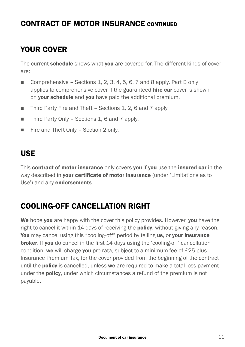## YOUR COVER

The current schedule shows what you are covered for. The different kinds of cover are:

- Comprehensive Sections 1, 2, 3, 4, 5, 6, 7 and 8 apply. Part B only applies to comprehensive cover if the guaranteed **hire car** cover is shown on **your schedule** and you have paid the additional premium.
- Third Party Fire and Theft Sections 1, 2, 6 and 7 apply.
- $\blacksquare$  Third Party Only Sections 1, 6 and 7 apply.
- Fire and Theft Only Section 2 only.

### USE

This contract of motor insurance only covers you if you use the insured car in the way described in your certificate of motor insurance (under 'Limitations as to Use') and any **endorsements**.

### COOLING-OFF CANCELLATION RIGHT

We hope you are happy with the cover this policy provides. However, you have the right to cancel it within 14 days of receiving the **policy**, without giving any reason. You may cancel using this "cooling-off" period by telling us, or your insurance broker. If you do cancel in the first 14 days using the 'cooling-off' cancellation condition, we will charge you pro rata, subject to a minimum fee of £25 plus Insurance Premium Tax, for the cover provided from the beginning of the contract until the **policy** is cancelled, unless we are required to make a total loss payment under the **policy**, under which circumstances a refund of the premium is not payable.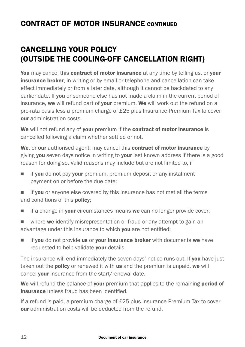## CANCELLING YOUR POLICY (OUTSIDE THE COOLING-OFF CANCELLATION RIGHT)

You may cancel this contract of motor insurance at any time by telling us, or your **insurance broker**, in writing or by email or telephone and cancellation can take effect immediately or from a later date, although it cannot be backdated to any earlier date. If **vou** or someone else has not made a claim in the current period of insurance, we will refund part of your premium. We will work out the refund on a pro-rata basis less a premium charge of £25 plus Insurance Premium Tax to cover our administration costs.

We will not refund any of your premium if the contract of motor insurance is cancelled following a claim whether settled or not.

We, or our authorised agent, may cancel this **contract of motor insurance** by giving you seven days notice in writing to your last known address if there is a good reason for doing so. Valid reasons may include but are not limited to, if

- $\blacksquare$  if you do not pay your premium, premium deposit or any instalment payment on or before the due date;
- $\blacksquare$  if you or anyone else covered by this insurance has not met all the terms and conditions of this **policy**;
- $\blacksquare$  if a change in **your** circumstances means we can no longer provide cover;
- $\blacksquare$  where we identify misrepresentation or fraud or any attempt to gain an advantage under this insurance to which you are not entitled;
- $\blacksquare$  if you do not provide us or your insurance broker with documents we have requested to help validate your details.

The insurance will end immediately the seven days' notice runs out. If you have just taken out the **policy** or renewed it with us and the premium is unpaid, we will cancel your insurance from the start/renewal date.

We will refund the balance of your premium that applies to the remaining period of **insurance** unless fraud has been identified.

If a refund is paid, a premium charge of £25 plus Insurance Premium Tax to cover our administration costs will be deducted from the refund.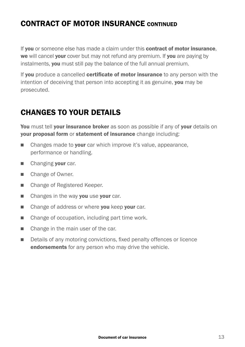If you or someone else has made a claim under this contract of motor insurance. we will cancel your cover but may not refund any premium. If you are paying by instalments, you must still pay the balance of the full annual premium.

If you produce a cancelled certificate of motor insurance to any person with the intention of deceiving that person into accepting it as genuine, you may be prosecuted.

## CHANGES TO YOUR DETAILS

You must tell your insurance broker as soon as possible if any of your details on your proposal form or statement of insurance change including:

- $\blacksquare$  Changes made to **your** car which improve it's value, appearance, performance or handling.
- Changing vour car.
- Change of Owner.
- Change of Registered Keeper.
- $\blacksquare$  Changes in the way you use your car.
- Change of address or where you keep your car.
- $\blacksquare$  Change of occupation, including part time work.
- $\blacksquare$  Change in the main user of the car.
- Details of any motoring convictions, fixed penalty offences or licence endorsements for any person who may drive the vehicle.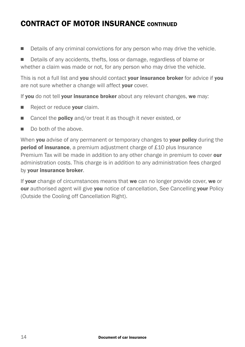**n** Details of any criminal convictions for any person who may drive the vehicle.

■ Details of any accidents, thefts, loss or damage, regardless of blame or whether a claim was made or not, for any person who may drive the vehicle.

This is not a full list and you should contact your insurance broker for advice if you are not sure whether a change will affect your cover.

If you do not tell your insurance broker about any relevant changes, we may:

- Reject or reduce your claim.
- Cancel the **policy** and/or treat it as though it never existed, or
- $\blacksquare$  Do both of the above.

When you advise of any permanent or temporary changes to your policy during the **period of insurance**, a premium adjustment charge of £10 plus Insurance Premium Tax will be made in addition to any other change in premium to cover our administration costs. This charge is in addition to any administration fees charged by your insurance broker.

If your change of circumstances means that we can no longer provide cover, we or our authorised agent will give you notice of cancellation, See Cancelling your Policy (Outside the Cooling off Cancellation Right).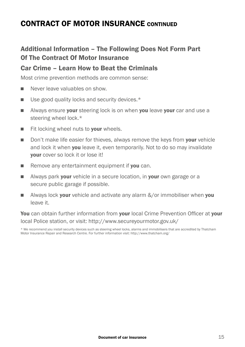#### Additional Information – The Following Does Not Form Part Of The Contract Of Motor Insurance

#### Car Crime – Learn How to Beat the Criminals

Most crime prevention methods are common sense:

- Never leave valuables on show.
- $\blacksquare$  Use good quality locks and security devices.\*
- **N** Always ensure your steering lock is on when you leave your car and use a steering wheel lock.\*
- $\blacksquare$  Fit locking wheel nuts to **your** wheels.
- Don't make life easier for thieves, always remove the keys from vour vehicle and lock it when **you** leave it, even temporarily. Not to do so may invalidate your cover so lock it or lose it!
- Remove any entertainment equipment if you can.
- Always park your vehicle in a secure location, in your own garage or a secure public garage if possible.
- **No Always lock your vehicle and activate any alarm**  $\&\sqrt{or}$  **immobiliser when you** leave it.

You can obtain further information from your local Crime Prevention Officer at your local Police station, or visit: http://www.secureyourmotor.gov.uk/

\* We recommend you install security devices such as steering wheel locks, alarms and immobilisers that are accredited by Thatcham Motor Insurance Repair and Research Centre. For further information visit: http://www.thatcham.org/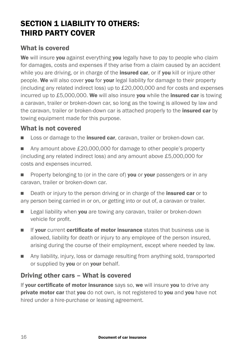## SECTION 1 LIABILITY TO OTHERS: THIRD PARTY COVER

#### What is covered

We will insure you against everything you legally have to pay to people who claim for damages, costs and expenses if they arise from a claim caused by an accident while you are driving, or in charge of the **insured car**, or if you kill or injure other people. We will also cover you for your legal liability for damage to their property (including any related indirect loss) up to £20,000,000 and for costs and expenses incurred up to  $£5,000,000$ . We will also insure you while the insured car is towing a caravan, trailer or broken-down car, so long as the towing is allowed by law and the caravan, trailer or broken-down car is attached properly to the **insured car** by towing equipment made for this purpose.

#### What is not covered

**n** Loss or damage to the **insured car**, caravan, trailer or broken-down car.

■ Any amount above £20,000,000 for damage to other people's property (including any related indirect loss) and any amount above £5,000,000 for costs and expenses incurred.

Property belonging to (or in the care of) you or your passengers or in any caravan, trailer or broken-down car.

Death or injury to the person driving or in charge of the **insured car** or to any person being carried in or on, or getting into or out of, a caravan or trailer.

- Eugal liability when you are towing any caravan, trailer or broken-down vehicle for profit.
- **n** If your current certificate of motor insurance states that business use is allowed, liability for death or injury to any employee of the person insured, arising during the course of their employment, except where needed by law.
- n Any liability, injury, loss or damage resulting from anything sold, transported or supplied by you or on your behalf.

#### Driving other cars – What is covered

If your certificate of motor insurance says so, we will insure you to drive any **private motor car** that you do not own, is not registered to you and you have not hired under a hire-purchase or leasing agreement.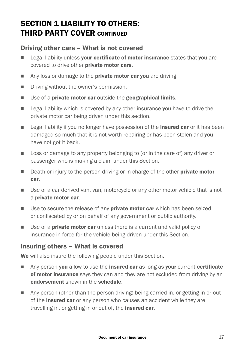## SECTION 1 LIABILITY TO OTHERS: THIRD PARTY COVER CONTINUED

#### Driving other cars – What is not covered

- **Example 2** Legal liability unless your certificate of motor insurance states that you are covered to drive other **private motor cars**.
- Any loss or damage to the **private motor car you** are driving.
- **n** Driving without the owner's permission.
- $\blacksquare$  Use of a private motor car outside the geographical limits.
- **Example 2** Legal liability which is covered by any other insurance **you** have to drive the private motor car being driven under this section.
- **Example 2** Legal liability if you no longer have possession of the **insured car** or it has been damaged so much that it is not worth repairing or has been stolen and you have not got it back.
- **n** Loss or damage to any property belonging to (or in the care of) any driver or passenger who is making a claim under this Section.
- Death or injury to the person driving or in charge of the other **private motor** car.
- Use of a car derived van, van, motorcycle or any other motor vehicle that is not a private motor car.
- **u** Use to secure the release of any **private motor car** which has been seized or confiscated by or on behalf of any government or public authority.
- $\blacksquare$  Use of a **private motor car** unless there is a current and valid policy of insurance in force for the vehicle being driven under this Section.

#### Insuring others – What is covered

We will also insure the following people under this Section.

- Any person you allow to use the insured car as long as your current certificate of motor insurance says they can and they are not excluded from driving by an endorsement shown in the schedule.
- $\Box$  Any person (other than the person driving) being carried in, or getting in or out of the **insured car** or any person who causes an accident while they are travelling in, or getting in or out of, the **insured car**.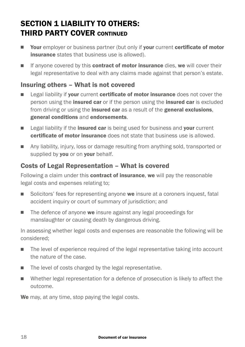## SECTION 1 LIABILITY TO OTHERS: THIRD PARTY COVER CONTINUED

- **Nour** employer or business partner (but only if your current certificate of motor insurance states that business use is allowed).
- $\blacksquare$  If anyone covered by this **contract of motor insurance** dies, we will cover their legal representative to deal with any claims made against that person's estate.

#### Insuring others – What is not covered

- **Example 2** Legal liability if your current certificate of motor insurance does not cover the person using the **insured car** or if the person using the **insured car** is excluded from driving or using the **insured car** as a result of the **general exclusions**, general conditions and endorsements.
- $\Box$  Legal liability if the **insured car** is being used for business and **your** current certificate of motor insurance does not state that business use is allowed.
- **n** Any liability, injury, loss or damage resulting from anything sold, transported or supplied by you or on your behalf.

#### Costs of Legal Representation – What is covered

Following a claim under this **contract of insurance, we** will pay the reasonable legal costs and expenses relating to;

- Solicitors' fees for representing anyone we insure at a coroners inquest, fatal accident inquiry or court of summary of jurisdiction; and
- $\blacksquare$  The defence of anyone we insure against any legal proceedings for manslaughter or causing death by dangerous driving.

In assessing whether legal costs and expenses are reasonable the following will be considered;

- n The level of experience required of the legal representative taking into account the nature of the case.
- $\blacksquare$  The level of costs charged by the legal representative.
- Whether legal representation for a defence of prosecution is likely to affect the outcome.

We may, at any time, stop paying the legal costs.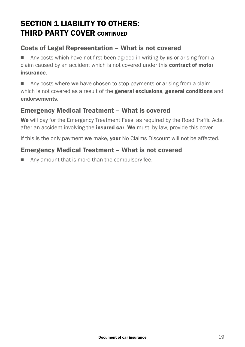## SECTION 1 LIABILITY TO OTHERS: THIRD PARTY COVER CONTINUED

#### Costs of Legal Representation – What is not covered

 $\Box$  Any costs which have not first been agreed in writing by us or arising from a claim caused by an accident which is not covered under this **contract of motor** insurance.

**n** Any costs where we have chosen to stop payments or arising from a claim which is not covered as a result of the **general exclusions, general conditions** and endorsements.

#### Emergency Medical Treatment – What is covered

We will pay for the Emergency Treatment Fees, as required by the Road Traffic Acts, after an accident involving the **insured car. We** must, by law, provide this cover.

If this is the only payment we make, your No Claims Discount will not be affected.

#### Emergency Medical Treatment – What is not covered

 $\blacksquare$  Any amount that is more than the compulsory fee.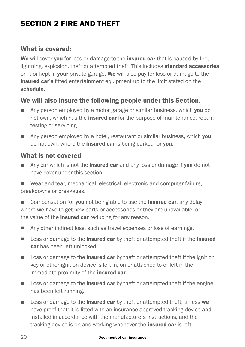## SECTION 2 FIRE AND THEFT

#### What is covered:

We will cover you for loss or damage to the **insured car** that is caused by fire. lightning, explosion, theft or attempted theft. This includes **standard accessories** on it or kept in **your** private garage. We will also pay for loss or damage to the **insured car's** fitted entertainment equipment up to the limit stated on the schedule.

#### We will also insure the following people under this Section.

- n Any person employed by a motor garage or similar business, which you do not own, which has the *insured car* for the purpose of maintenance, repair, testing or servicing.
- n Any person employed by a hotel, restaurant or similar business, which you do not own, where the **insured car** is being parked for **you**.

#### What is not covered

- $\blacksquare$  Any car which is not the **insured car** and any loss or damage if you do not have cover under this section.
- $\blacksquare$  Wear and tear, mechanical, electrical, electronic and computer failure, breakdowns or breakages.
- Compensation for you not being able to use the insured car, any delay where we have to get new parts or accessories or they are unavailable, or the value of the *insured car* reducing for any reason.
- Any other indirect loss, such as travel expenses or loss of earnings.
- **n** Loss or damage to the **insured car** by theft or attempted theft if the **insured** car has been left unlocked.
- $\Box$  Loss or damage to the **insured car** by theft or attempted theft if the ignition key or other ignition device is left in, on or attached to or left in the immediate proximity of the **insured car**.
- **n** Loss or damage to the **insured car** by theft or attempted theft if the engine has been left running.
- **n** Loss or damage to the **insured car** by theft or attempted theft, unless we have proof that: it is fitted with an insurance approved tracking device and installed in accordance with the manufacturers instructions, and the tracking device is on and working whenever the *insured car* is left.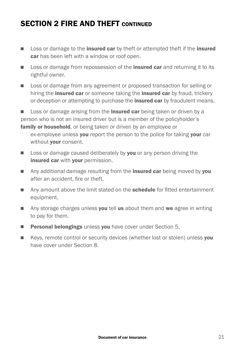## SECTION 2 FIRE AND THEFT CONTINUED

- **n** Loss or damage to the **insured car** by theft or attempted theft if the **insured** car has been left with a window or roof open.
- **n** Loss or damage from repossession of the **insured car** and returning it to its rightful owner.
- **n** Loss or damage from any agreement or proposed transaction for selling or hiring the **insured car** or someone taking the **insured car** by fraud, trickery or deception or attempting to purchase the *insured car* by fraudulent means.

■ Loss or damage arising from the **insured car** being taken or driven by a person who is not an insured driver but is a member of the policyholder's family or household, or being taken or driven by an employee or ex-employee unless you report the person to the police for taking your car without **your** consent.

- $\Box$  Loss or damage caused deliberately by you or any person driving the insured car with your permission.
- Any additional damage resulting from the **insured car** being moved by **you** after an accident, fire or theft.
- Any amount above the limit stated on the **schedule** for fitted entertainment equipment.
- $\blacksquare$  Any storage charges unless you tell us about them and we agree in writing to pay for them.
- **Personal belongings** unless you have cover under Section 5.
- Keys, remote control or security devices (whether lost or stolen) unless you have cover under Section 8.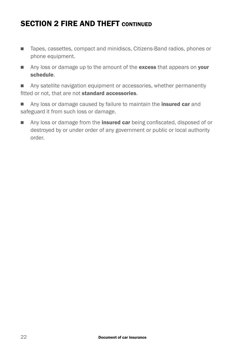## SECTION 2 FIRE AND THEFT CONTINUED

- Tapes, cassettes, compact and minidiscs, Citizens-Band radios, phones or phone equipment.
- Any loss or damage up to the amount of the excess that appears on your schedule.
- Any satellite navigation equipment or accessories, whether permanently fitted or not, that are not **standard accessories**.
- **n** Any loss or damage caused by failure to maintain the **insured car** and safeguard it from such loss or damage.
- Any loss or damage from the **insured car** being confiscated, disposed of or destroyed by or under order of any government or public or local authority order.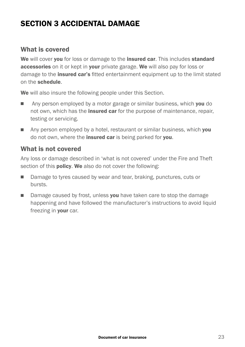## SECTION 3 ACCIDENTAL DAMAGE

#### What is covered

We will cover you for loss or damage to the insured car. This includes standard accessories on it or kept in your private garage. We will also pay for loss or damage to the **insured car's** fitted entertainment equipment up to the limit stated on the schedule.

We will also insure the following people under this Section.

- **n** Any person employed by a motor garage or similar business, which **you** do not own, which has the *insured car* for the purpose of maintenance, repair, testing or servicing.
- **n** Any person employed by a hotel, restaurant or similar business, which **you** do not own, where the **insured car** is being parked for **you**.

#### What is not covered

Any loss or damage described in 'what is not covered' under the Fire and Theft section of this **policy. We** also do not cover the following:

- Damage to tyres caused by wear and tear, braking, punctures, cuts or bursts.
- Damage caused by frost, unless you have taken care to stop the damage happening and have followed the manufacturer's instructions to avoid liquid freezing in **your** car.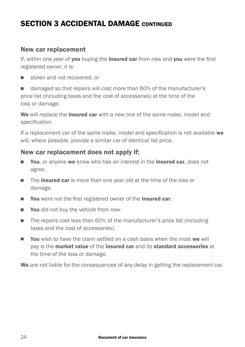## SECTION 3 ACCIDENTAL DAMAGE CONTINUED

#### New car replacement

If, within one year of you buying the insured car from new and you were the first registered owner, it is:

stolen and not recovered, or

■ damaged so that repairs will cost more than 60% of the manufacturer's price list (including taxes and the cost of accessories) at the time of the loss or damage;

We will replace the **insured car** with a new one of the same make, model and specification.

If a replacement car of the same make, model and specification is not available we will, where possible, provide a similar car of identical list price.

#### New car replacement does not apply if:

- **Nou, or anyone we know who has an interest in the insured car, does not** agree.
- The insured car is more than one year old at the time of the loss or damage.
- You were not the first registered owner of the insured car.
- **Nou** did not buy the vehicle from new.
- The repairs cost less than 60% of the manufacturer's price list (including taxes and the cost of accessories).
- **Nou** wish to have the claim settled on a cash basis when the most we will pay is the market value of the insured car and its standard accessories at the time of the loss or damage.

We are not liable for the consequences of any delay in getting the replacement car.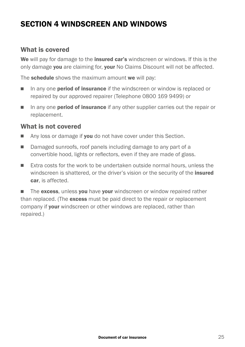## SECTION 4 WINDSCREEN AND WINDOWS

#### What is covered

We will pay for damage to the *insured car's* windscreen or windows. If this is the only damage you are claiming for, your No Claims Discount will not be affected.

The **schedule** shows the maximum amount we will pay:

- In any one **period of insurance** if the windscreen or window is replaced or repaired by our approved repairer (Telephone 0800 169 9499) or
- n any one **period of insurance** if any other supplier carries out the repair or replacement.

#### What is not covered

- Any loss or damage if you do not have cover under this Section.
- Damaged sunroofs, roof panels including damage to any part of a convertible hood, lights or reflectors, even if they are made of glass.
- Extra costs for the work to be undertaken outside normal hours, unless the windscreen is shattered, or the driver's vision or the security of the **insured** car, is affected.

 $\blacksquare$  The excess, unless you have your windscreen or window repaired rather than replaced. (The excess must be paid direct to the repair or replacement company if **your** windscreen or other windows are replaced, rather than repaired.)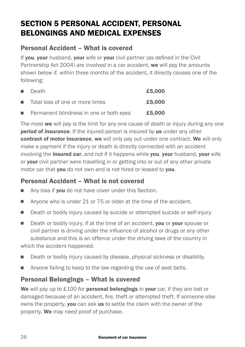## SECTION 5 PERSONAL ACCIDENT, PERSONAL BELONGINGS AND MEDICAL EXPENSES

#### Personal Accident – What is covered

If you, your husband, your wife or your civil partner (as defined in the Civil Partnership Act 2004) are involved in a car accident, we will pay the amounts shown below if, within three months of the accident, it directly causes one of the following:

|    | ■ Death                                 | £5,000 |
|----|-----------------------------------------|--------|
| п. | Total loss of one or more limbs         | £5,000 |
| п. | Permanent blindness in one or both eyes | £5,000 |

The most we will pay is the limit for any one cause of death or injury during any one **period of insurance**. If the injured person is insured by us under any other contract of motor insurance, we will only pay out under one contract. We will only make a payment if the injury or death is directly connected with an accident involving the **insured car**, and not if it happens while you, your husband, your wife or your civil partner were travelling in or getting into or out of any other private motor car that you do not own and is not hired or leased to you.

#### Personal Accident – What is not covered

- Any loss if **you** do not have cover under this Section.
- $\blacksquare$  Anyone who is under 21 or 75 or older at the time of the accident.
- **n** Death or bodily injury caused by suicide or attempted suicide or self-injury.
- Death or bodily injury, if at the time of an accident, you or your spouse or civil partner is driving under the influence of alcohol or drugs or any other substance and this is an offence under the driving laws of the country in which the accident happened.
- Death or bodily injury caused by disease, physical sickness or disability.
- **n** Anyone failing to keep to the law regarding the use of seat belts.

#### Personal Belongings – What is covered

We will pay up to  $£100$  for **personal belongings** in **your** car, if they are lost or damaged because of an accident, fire, theft or attempted theft. If someone else owns the property, you can ask us to settle the claim with the owner of the property. We may need proof of purchase.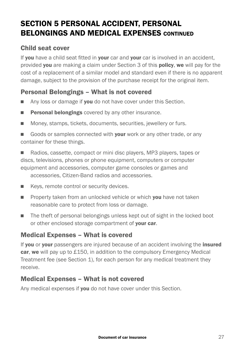## SECTION 5 PERSONAL ACCIDENT, PERSONAL BELONGINGS AND MEDICAL EXPENSES CONTINUED

#### Child seat cover

If you have a child seat fitted in your car and your car is involved in an accident. provided you are making a claim under Section 3 of this policy, we will pay for the cost of a replacement of a similar model and standard even if there is no apparent damage, subject to the provision of the purchase receipt for the original item.

#### Personal Belongings – What is not covered

- Any loss or damage if you do not have cover under this Section.
- **Personal belongings** covered by any other insurance.
- Money, stamps, tickets, documents, securities, jewellery or furs.
- Goods or samples connected with **your** work or any other trade, or any container for these things.

■ Radios, cassette, compact or mini disc players, MP3 players, tapes or discs, televisions, phones or phone equipment, computers or computer equipment and accessories, computer game consoles or games and accessories, Citizen-Band radios and accessories.

- Keys, remote control or security devices.
- **Property taken from an unlocked vehicle or which you have not taken** reasonable care to protect from loss or damage.
- The theft of personal belongings unless kept out of sight in the locked boot or other enclosed storage compartment of your car.

#### Medical Expenses – What is covered

If you or your passengers are injured because of an accident involving the insured car, we will pay up to £150, in addition to the compulsory Emergency Medical Treatment fee (see Section 1), for each person for any medical treatment they receive.

#### Medical Expenses – What is not covered

Any medical expenses if you do not have cover under this Section.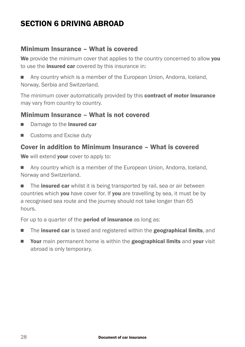## SECTION 6 DRIVING ABROAD

#### Minimum Insurance – What is covered

We provide the minimum cover that applies to the country concerned to allow you to use the **insured car** covered by this insurance in:

**n** Any country which is a member of the European Union, Andorra, Iceland, Norway, Serbia and Switzerland.

The minimum cover automatically provided by this **contract of motor insurance** may vary from country to country.

#### Minimum Insurance – What is not covered

- Damage to the insured car
- $\Box$  Customs and Excise duty

#### Cover in addition to Minimum Insurance – What is covered

We will extend your cover to apply to:

■ Any country which is a member of the European Union, Andorra, Iceland, Norway and Switzerland.

 $\blacksquare$  The **insured car** whilst it is being transported by rail, sea or air between countries which you have cover for. If you are travelling by sea, it must be by a recognised sea route and the journey should not take longer than 65 hours.

For up to a quarter of the **period of insurance** as long as:

- **n** The insured car is taxed and registered within the geographical limits, and
- **n** Your main permanent home is within the geographical limits and your visit abroad is only temporary.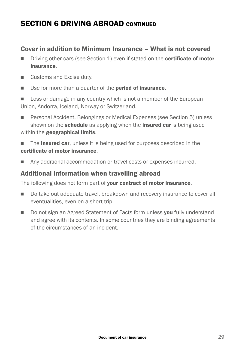## SECTION 6 DRIVING ABROAD CONTINUED

#### Cover in addition to Minimum Insurance – What is not covered

- n Driving other cars (see Section 1) even if stated on the **certificate of motor** insurance.
- Customs and Excise duty.
- Use for more than a quarter of the **period of insurance**.
- Loss or damage in any country which is not a member of the European Union, Andorra, Iceland, Norway or Switzerland.
- Personal Accident, Belongings or Medical Expenses (see Section 5) unless shown on the **schedule** as applying when the **insured car** is being used within the geographical limits.
- $\blacksquare$  The **insured car**, unless it is being used for purposes described in the certificate of motor insurance.
- Any additional accommodation or travel costs or expenses incurred.

#### Additional information when travelling abroad

The following does not form part of **your contract of motor insurance.** 

- $\Box$  Do take out adequate travel, breakdown and recovery insurance to cover all eventualities, even on a short trip.
- Do not sign an Agreed Statement of Facts form unless vou fully understand and agree with its contents. In some countries they are binding agreements of the circumstances of an incident.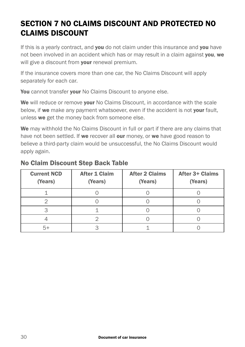## SECTION 7 NO CLAIMS DISCOUNT AND PROTECTED NO CLAIMS DISCOUNT

If this is a yearly contract, and **you** do not claim under this insurance and **you** have not been involved in an accident which has or may result in a claim against you, we will give a discount from **your** renewal premium.

If the insurance covers more than one car, the No Claims Discount will apply separately for each car.

You cannot transfer your No Claims Discount to anyone else.

We will reduce or remove your No Claims Discount, in accordance with the scale below, if we make any payment whatsoever, even if the accident is not your fault, unless we get the money back from someone else.

We may withhold the No Claims Discount in full or part if there are any claims that have not been settled. If we recover all our money, or we have good reason to believe a third-party claim would be unsuccessful, the No Claims Discount would apply again.

| <b>Current NCD</b><br>(Years) | <b>After 1 Claim</b><br>(Years) |  | After 3+ Claims<br>(Years) |  |
|-------------------------------|---------------------------------|--|----------------------------|--|
|                               |                                 |  |                            |  |
|                               |                                 |  |                            |  |
|                               |                                 |  |                            |  |
|                               |                                 |  |                            |  |
|                               |                                 |  |                            |  |

#### No Claim Discount Step Back Table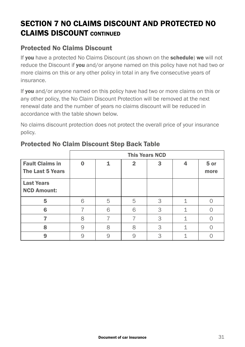## SECTION 7 NO CLAIMS DISCOUNT AND PROTECTED NO CLAIMS DISCOUNT CONTINUED

#### Protected No Claims Discount

If you have a protected No Claims Discount (as shown on the schedule) we will not reduce the Discount if you and/or anyone named on this policy have not had two or more claims on this or any other policy in total in any five consecutive years of insurance.

If you and/or anyone named on this policy have had two or more claims on this or any other policy, the No Claim Discount Protection will be removed at the next renewal date and the number of years no claims discount will be reduced in accordance with the table shown below.

No claims discount protection does not protect the overall price of your insurance policy.

|                                            | <b>This Years NCD</b> |   |   |   |              |
|--------------------------------------------|-----------------------|---|---|---|--------------|
| <b>Fault Claims in</b><br>The Last 5 Years | $\Omega$              |   | 2 | 3 | 5 or<br>more |
| <b>Last Years</b><br><b>NCD Amount:</b>    |                       |   |   |   |              |
| 5                                          | 6                     | 5 | 5 | 3 |              |
| 6                                          |                       | 6 | 6 | 3 |              |
|                                            | 8                     |   |   | 3 |              |
| 8                                          | 9                     | 8 | 8 | 3 |              |
| 9                                          | 9                     | 9 | q | 3 |              |

#### Protected No Claim Discount Step Back Table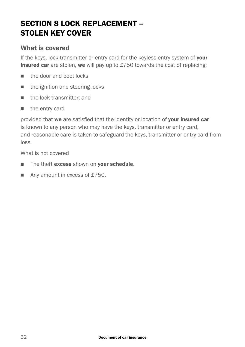## SECTION 8 LOCK REPLACEMENT -STOLEN KEY COVER

#### What is covered

If the keys, lock transmitter or entry card for the keyless entry system of your **insured car** are stolen, we will pay up to £750 towards the cost of replacing:

- $\blacksquare$  the door and boot locks
- $\blacksquare$  the ignition and steering locks
- $\blacksquare$  the lock transmitter; and
- $\blacksquare$  the entry card

provided that we are satisfied that the identity or location of your insured car is known to any person who may have the keys, transmitter or entry card, and reasonable care is taken to safeguard the keys, transmitter or entry card from loss.

What is not covered

- The theft excess shown on your schedule.
- $\blacksquare$  Any amount in excess of £750.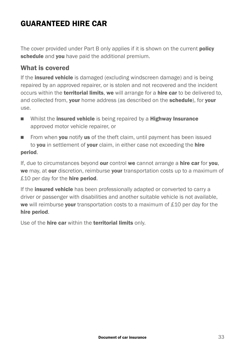## GUARANTEED HIRE CAR

The cover provided under Part B only applies if it is shown on the current **policy** schedule and you have paid the additional premium.

#### What is covered

If the **insured vehicle** is damaged (excluding windscreen damage) and is being repaired by an approved repairer, or is stolen and not recovered and the incident occurs within the **territorial limits, we** will arrange for a **hire car** to be delivered to, and collected from, your home address (as described on the schedule), for your use.

- Whilst the insured vehicle is being repaired by a Highway Insurance approved motor vehicle repairer, or
- From when **you** notify us of the theft claim, until payment has been issued to you in settlement of your claim, in either case not exceeding the hire period.

If, due to circumstances beyond our control we cannot arrange a hire car for you, we may, at our discretion, reimburse your transportation costs up to a maximum of  $£10$  per day for the **hire period**.

If the **insured vehicle** has been professionally adapted or converted to carry a driver or passenger with disabilities and another suitable vehicle is not available, we will reimburse your transportation costs to a maximum of £10 per day for the hire period.

Use of the **hire car** within the **territorial limits** only.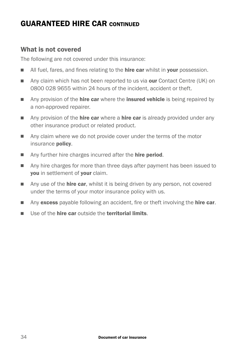## GUARANTEED HIRE CAR CONTINUED

#### What is not covered

The following are not covered under this insurance:

- I All fuel, fares, and fines relating to the **hire car** whilst in your possession.
- Any claim which has not been reported to us via **our** Contact Centre (UK) on 0800 028 9655 within 24 hours of the incident, accident or theft.
- $\blacksquare$  Any provision of the **hire car** where the **insured vehicle** is being repaired by a non-approved repairer.
- $\blacksquare$  Any provision of the **hire car** where a **hire car** is already provided under any other insurance product or related product.
- $\blacksquare$  Any claim where we do not provide cover under the terms of the motor insurance policy.
- Any further hire charges incurred after the **hire period.**
- n Any hire charges for more than three days after payment has been issued to you in settlement of your claim.
- n Any use of the **hire car**, whilst it is being driven by any person, not covered under the terms of your motor insurance policy with us.
- Any excess payable following an accident, fire or theft involving the **hire car**.
- $\blacksquare$  Use of the **hire car** outside the **territorial limits**.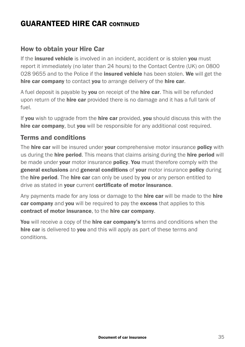## GUARANTEED HIRE CAR CONTINUED

#### How to obtain your Hire Car

If the **insured vehicle** is involved in an incident, accident or is stolen you must report it immediately (no later than 24 hours) to the Contact Centre (UK) on 0800 028 9655 and to the Police if the insured vehicle has been stolen. We will get the hire car company to contact you to arrange delivery of the hire car.

A fuel deposit is payable by **you** on receipt of the **hire car**. This will be refunded upon return of the **hire car** provided there is no damage and it has a full tank of fuel.

If you wish to upgrade from the **hire car** provided, you should discuss this with the hire car company, but you will be responsible for any additional cost required.

#### Terms and conditions

The hire car will be insured under your comprehensive motor insurance policy with us during the **hire period.** This means that claims arising during the **hire period** will be made under your motor insurance policy. You must therefore comply with the general exclusions and general conditions of your motor insurance policy during the **hire period.** The **hire car** can only be used by **you** or any person entitled to drive as stated in your current certificate of motor insurance.

Any payments made for any loss or damage to the **hire car** will be made to the **hire** car company and you will be required to pay the excess that applies to this contract of motor insurance, to the hire car company.

You will receive a copy of the hire car company's terms and conditions when the hire car is delivered to you and this will apply as part of these terms and conditions.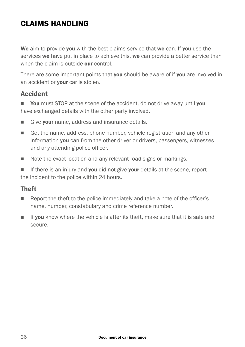## CLAIMS HANDLING

We aim to provide you with the best claims service that we can. If you use the services we have put in place to achieve this, we can provide a better service than when the claim is outside **our** control.

There are some important points that you should be aware of if you are involved in an accident or **your** car is stolen.

#### Accident

**Nou** must STOP at the scene of the accident, do not drive away until you have exchanged details with the other party involved.

- Give **vour** name, address and insurance details.
- <sup>n</sup> Get the name, address, phone number, vehicle registration and any other information you can from the other driver or drivers, passengers, witnesses and any attending police officer.
- Note the exact location and any relevant road signs or markings.

 $\blacksquare$  If there is an injury and you did not give your details at the scene, report the incident to the police within 24 hours.

#### Theft

- **n** Report the theft to the police immediately and take a note of the officer's name, number, constabulary and crime reference number.
- **n** If you know where the vehicle is after its theft, make sure that it is safe and secure.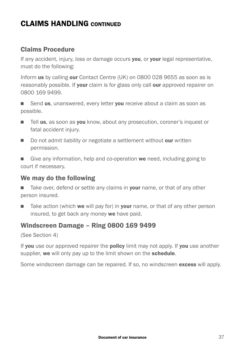#### Claims Procedure

If any accident, injury, loss or damage occurs you, or your legal representative, must do the following:

Inform us by calling our Contact Centre (UK) on 0800 028 9655 as soon as is reasonably possible. If your claim is for glass only call our approved repairer on 0800 169 9499.

■ Send us, unanswered, every letter you receive about a claim as soon as possible.

- Tell us, as soon as you know, about any prosecution, coroner's inquest or fatal accident injury.
- Do not admit liability or negotiate a settlement without our written permission.

Give any information, help and co-operation we need, including going to court if necessary.

#### We may do the following

Take over, defend or settle any claims in your name, or that of any other person insured.

 $\blacksquare$  Take action (which we will pay for) in your name, or that of any other person insured, to get back any money we have paid.

#### Windscreen Damage – Ring 0800 169 9499

(See Section 4)

If you use our approved repairer the policy limit may not apply. If you use another supplier, we will only pay up to the limit shown on the schedule.

Some windscreen damage can be repaired. If so, no windscreen **excess** will apply.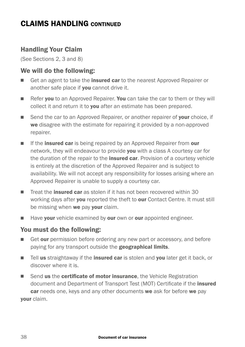#### Handling Your Claim

(See Sections 2, 3 and 8)

#### We will do the following:

- Get an agent to take the **insured car** to the nearest Approved Repairer or another safe place if **vou** cannot drive it.
- Refer you to an Approved Repairer. You can take the car to them or they will collect it and return it to you after an estimate has been prepared.
- Send the car to an Approved Repairer, or another repairer of your choice, if we disagree with the estimate for repairing it provided by a non-approved repairer.
- If the **insured car** is being repaired by an Approved Repairer from **our** network, they will endeavour to provide you with a class A courtesy car for the duration of the repair to the **insured car**. Provision of a courtesy vehicle is entirely at the discretion of the Approved Repairer and is subject to availability. We will not accept any responsibility for losses arising where an Approved Repairer is unable to supply a courtesy car.
- **n** Treat the **insured car** as stolen if it has not been recovered within 30 working days after **you** reported the theft to **our** Contact Centre. It must still be missing when we pay vour claim.
- $\blacksquare$  Have your vehicle examined by our own or our appointed engineer.

#### You must do the following:

- Get our permission before ordering any new part or accessory, and before paying for any transport outside the **geographical limits**.
- **n** Tell us straightaway if the **insured car** is stolen and you later get it back, or discover where it is.
- Send us the certificate of motor insurance, the Vehicle Registration document and Department of Transport Test (MOT) Certificate if the insured car needs one, keys and any other documents we ask for before we pay your claim.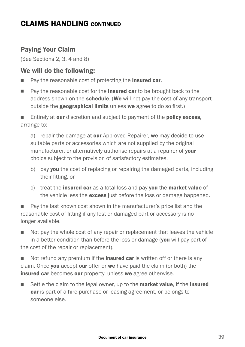#### Paying Your Claim

(See Sections 2, 3, 4 and 8)

#### We will do the following:

- Pay the reasonable cost of protecting the **insured car**.
- Pay the reasonable cost for the **insured car** to be brought back to the address shown on the **schedule.** (We will not pay the cost of any transport outside the geographical limits unless we agree to do so first.)

 $\blacksquare$  Entirely at our discretion and subject to payment of the **policy excess**, arrange to:

a) repair the damage at our Approved Repairer, we may decide to use suitable parts or accessories which are not supplied by the original manufacturer, or alternatively authorise repairs at a repairer of **vour** choice subject to the provision of satisfactory estimates,

- b) pay you the cost of replacing or repairing the damaged parts, including their fitting, or
- c) treat the **insured car** as a total loss and pay you the market value of the vehicle less the excess just before the loss or damage happened.

Pay the last known cost shown in the manufacturer's price list and the reasonable cost of fitting if any lost or damaged part or accessory is no longer available.

 $\blacksquare$  Not pay the whole cost of any repair or replacement that leaves the vehicle in a better condition than before the loss or damage (you will pay part of the cost of the repair or replacement).

 $\blacksquare$  Not refund any premium if the **insured car** is written off or there is any claim. Once you accept our offer or we have paid the claim (or both) the insured car becomes our property, unless we agree otherwise.

Settle the claim to the legal owner, up to the **market value**, if the **insured** car is part of a hire-purchase or leasing agreement, or belongs to someone else.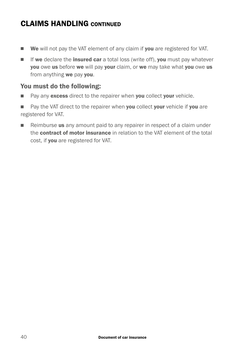- **Ne** will not pay the VAT element of any claim if you are registered for VAT.
- $\blacksquare$  If we declare the insured car a total loss (write off), you must pay whatever you owe us before we will pay your claim, or we may take what you owe us from anything we pay you.

#### You must do the following:

- $\blacksquare$  Pay any excess direct to the repairer when you collect your vehicle.
- $\blacksquare$  Pay the VAT direct to the repairer when you collect your vehicle if you are registered for VAT.
- Reimburse us any amount paid to any repairer in respect of a claim under the **contract of motor insurance** in relation to the VAT element of the total cost, if you are registered for VAT.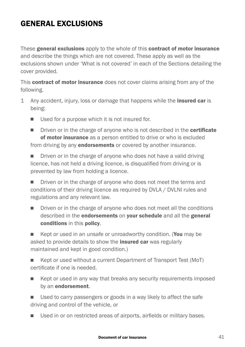## **GENERAL EXCLUSIONS**

These general exclusions apply to the whole of this contract of motor insurance and describe the things which are not covered. These apply as well as the exclusions shown under 'What is not covered' in each of the Sections detailing the cover provided.

This contract of motor insurance does not cover claims arising from any of the following.

- 1 Any accident, injury, loss or damage that happens while the **insured car** is being:
	- $\blacksquare$  Used for a purpose which it is not insured for.
	- Driven or in the charge of anyone who is not described in the certificate of motor insurance as a person entitled to drive or who is excluded from driving by any **endorsements** or covered by another insurance.

Driven or in the charge of anyone who does not have a valid driving licence, has not held a driving licence, is disqualified from driving or is prevented by law from holding a licence.

■ Driven or in the charge of anyone who does not meet the terms and conditions of their driving licence as required by DVLA / DVLNI rules and regulations and any relevant law.

■ Driven or in the charge of anyone who does not meet all the conditions described in the endorsements on your schedule and all the general conditions in this policy.

■ Kept or used in an unsafe or unroadworthy condition. (You may be asked to provide details to show the **insured car** was regularly maintained and kept in good condition.)

Kept or used without a current Department of Transport Test (MoT) certificate if one is needed.

- $\blacksquare$  Kept or used in any way that breaks any security requirements imposed by an endorsement.
- Used to carry passengers or goods in a way likely to affect the safe driving and control of the vehicle, or
- Used in or on restricted areas of airports, airfields or military bases.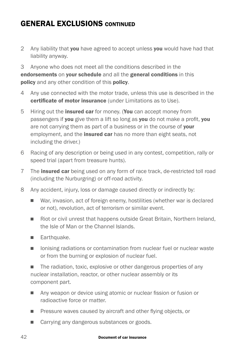## **GENERAL EXCLUSIONS CONTINUED**

2 Any liability that you have agreed to accept unless you would have had that liability anyway.

3 Anyone who does not meet all the conditions described in the endorsements on your schedule and all the general conditions in this policy and any other condition of this policy.

- 4 Any use connected with the motor trade, unless this use is described in the certificate of motor insurance (under Limitations as to Use).
- 5 Hiring out the **insured car** for money. (You can accept money from passengers if you give them a lift so long as you do not make a profit, you are not carrying them as part of a business or in the course of your employment, and the **insured car** has no more than eight seats, not including the driver.)
- 6 Racing of any description or being used in any contest, competition, rally or speed trial (apart from treasure hunts).
- 7 The **insured car** being used on any form of race track, de-restricted toll road (including the Nurburgring) or off-road activity.
- 8 Any accident, injury, loss or damage caused directly or indirectly by:
	- War, invasion, act of foreign enemy, hostilities (whether war is declared or not), revolution, act of terrorism or similar event.
	- Riot or civil unrest that happens outside Great Britain, Northern Ireland, the Isle of Man or the Channel Islands.
	- **Earthquake.**
	- Ionising radiations or contamination from nuclear fuel or nuclear waste or from the burning or explosion of nuclear fuel.

The radiation, toxic, explosive or other dangerous properties of any nuclear installation, reactor, or other nuclear assembly or its component part.

- Any weapon or device using atomic or nuclear fission or fusion or radioactive force or matter.
- **n** Pressure waves caused by aircraft and other flying objects, or
- Carrying any dangerous substances or goods.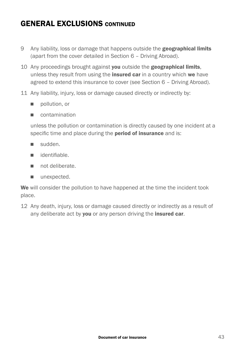## **GENERAL EXCLUSIONS CONTINUED**

- 9 Any liability, loss or damage that happens outside the **geographical limits** (apart from the cover detailed in Section 6 – Driving Abroad).
- 10 Any proceedings brought against you outside the geographical limits, unless they result from using the **insured car** in a country which we have agreed to extend this insurance to cover (see Section 6 – Driving Abroad).
- 11 Any liability, injury, loss or damage caused directly or indirectly by:
	- n pollution, or
	- n contamination

unless the pollution or contamination is directly caused by one incident at a specific time and place during the **period of insurance** and is:

- <sup>n</sup> sudden.
- n identifiable
- not deliberate
- $\blacksquare$  unexpected.

We will consider the pollution to have happened at the time the incident took place.

12 Any death, injury, loss or damage caused directly or indirectly as a result of any deliberate act by **you** or any person driving the **insured car.**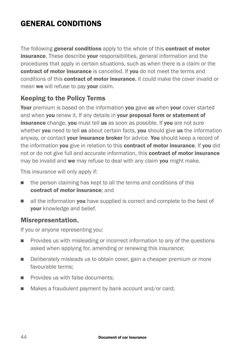## GENERAL CONDITIONS

The following general conditions apply to the whole of this contract of motor **insurance.** These describe your responsibilities, general information and the procedures that apply in certain situations, such as when there is a claim or the contract of motor insurance is cancelled. If you do not meet the terms and conditions of this contract of motor insurance, it could make the cover invalid or mean we will refuse to pay your claim.

#### Keeping to the Policy Terms

Your premium is based on the information you gave us when your cover started and when you renew it. If any details in your proposal form or statement of insurance change, you must tell us as soon as possible. If you are not sure whether you need to tell us about certain facts, you should give us the information anyway, or contact your insurance broker for advice. You should keep a record of the information you give in relation to this contract of motor insurance. If you did not or do not give full and accurate information, this **contract of motor insurance** may be invalid and we may refuse to deal with any claim you might make.

This insurance will only apply if:

- $\blacksquare$  the person claiming has kept to all the terms and conditions of this contract of motor insurance; and
- $\blacksquare$  all the information **vou** have supplied is correct and complete to the best of your knowledge and belief.

#### Misrepresentation.

If you or anyone representing you:

- **n** Provides us with misleading or incorrect information to any of the questions asked when applying for, amending or renewing this insurance;
- <sup>n</sup> Deliberately misleads us to obtain cover, gain a cheaper premium or more favourable terms;
- $\blacksquare$  Provides us with false documents:
- Makes a fraudulent payment by bank account and/or card;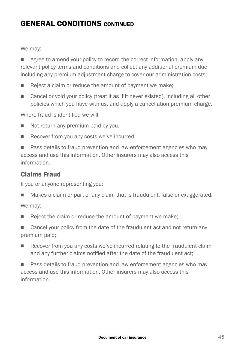## GENERAL CONDITIONS CONTINUED

We may:

 $\blacksquare$  Agree to amend your policy to record the correct information, apply any relevant policy terms and conditions and collect any additional premium due including any premium adjustment charge to cover our administration costs;

- $\blacksquare$  Reject a claim or reduce the amount of payment we make;
- Cancel or void your policy (treat it as if it never existed), including all other policies which you have with us, and apply a cancellation premium charge.

Where fraud is identified we will:

- $\blacksquare$  Not return any premium paid by you.
- $\blacksquare$  Recover from you any costs we've incurred.

■ Pass details to fraud prevention and law enforcement agencies who may access and use this information. Other insurers may also access this information.

#### Claims Fraud

If you or anyone representing you:

■ Makes a claim or part of any claim that is fraudulent, false or exaggerated;

We may:

 $\blacksquare$  Reject the claim or reduce the amount of payment we make;

■ Cancel your policy from the date of the fraudulent act and not return any premium paid;

**EXECOVER FROM YOU ANY COSTS WE'VE INCUTTED THE FRAUDULE READ FOR THE READ FRAUDULE IN READ FRAUDULER** and any further claims notified after the date of the fraudulent act;

■ Pass details to fraud prevention and law enforcement agencies who may access and use this information. Other insurers may also access this information.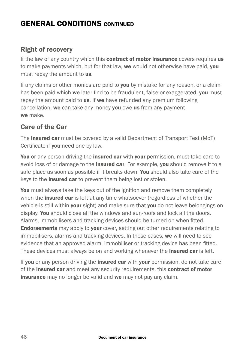## GENERAL CONDITIONS CONTINUED

#### Right of recovery

If the law of any country which this **contract of motor insurance** covers requires us to make payments which, but for that law, we would not otherwise have paid, you must repay the amount to us.

If any claims or other monies are paid to **you** by mistake for any reason, or a claim has been paid which we later find to be fraudulent, false or exaggerated, you must repay the amount paid to **us.** If we have refunded any premium following cancellation, we can take any money you owe us from any payment we make.

#### Care of the Car

The **insured car** must be covered by a valid Department of Transport Test (MoT) Certificate if **you** need one by law.

You or any person driving the insured car with your permission, must take care to avoid loss of or damage to the **insured car**. For example, you should remove it to a safe place as soon as possible if it breaks down. You should also take care of the keys to the *insured car* to prevent them being lost or stolen.

You must always take the keys out of the ignition and remove them completely when the *insured car* is left at any time whatsoever (regardless of whether the vehicle is still within **your** sight) and make sure that **you** do not leave belongings on display. You should close all the windows and sun-roofs and lock all the doors. Alarms, immobilisers and tracking devices should be turned on when fitted. **Endorsements** may apply to your cover, setting out other requirements relating to immobilisers, alarms and tracking devices. In these cases, we will need to see evidence that an approved alarm, immobiliser or tracking device has been fitted. These devices must always be on and working whenever the **insured car** is left.

If you or any person driving the insured car with your permission, do not take care of the **insured car** and meet any security requirements, this **contract of motor** insurance may no longer be valid and we may not pay any claim.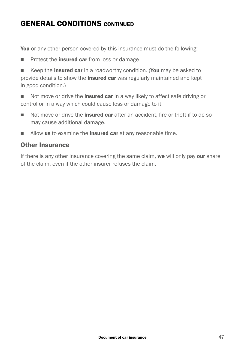## GENERAL CONDITIONS CONTINUED

You or any other person covered by this insurance must do the following:

- Protect the **insured car** from loss or damage.
- Keep the **insured car** in a roadworthy condition. (You may be asked to provide details to show the *insured car* was regularly maintained and kept in good condition.)
- Not move or drive the *insured car* in a way likely to affect safe driving or control or in a way which could cause loss or damage to it.
- n Not move or drive the **insured car** after an accident, fire or theft if to do so may cause additional damage.
- $\blacksquare$  Allow us to examine the insured car at any reasonable time.

#### Other Insurance

If there is any other insurance covering the same claim, we will only pay our share of the claim, even if the other insurer refuses the claim.